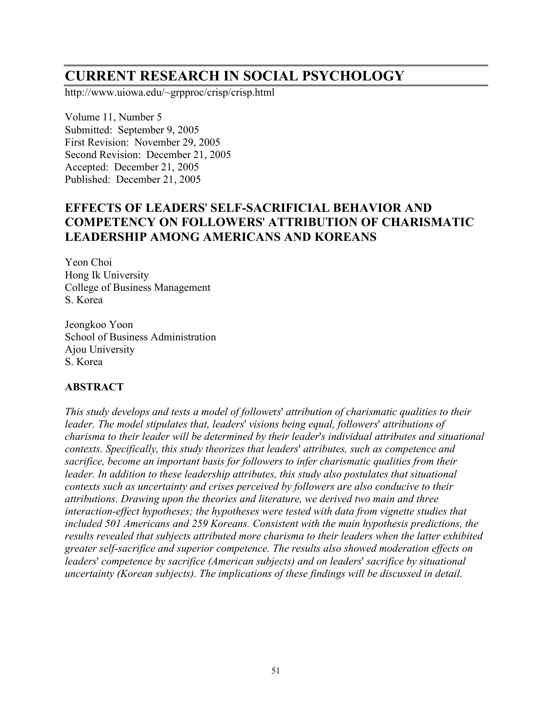# **CURRENT RESEARCH IN SOCIAL PSYCHOLOGY**

http://www.uiowa.edu/~grpproc/crisp/crisp.html

Volume 11, Number 5 Submitted: September 9, 2005 First Revision: November 29, 2005 Second Revision: December 21, 2005 Accepted: December 21, 2005 Published: December 21, 2005

# **EFFECTS OF LEADERS**' **SELF-SACRIFICIAL BEHAVIOR AND COMPETENCY ON FOLLOWERS**' **ATTRIBUTION OF CHARISMATIC LEADERSHIP AMONG AMERICANS AND KOREANS**

Yeon Choi Hong Ik University College of Business Management S. Korea

Jeongkoo Yoon School of Business Administration Ajou University S. Korea

# **ABSTRACT**

*This study develops and tests a model of followe*r*s*' *attribution of charismatic qualities to their leader. The model stipulates that, leaders*' *visions being equal, followers*' *attributions of charisma to their leader will be determined by their leader*'*s individual attributes and situational contexts. Specifically, this study theorizes that leaders*' *attributes, such as competence and sacrifice, become an important basis for followers to infer charismatic qualities from their leader. In addition to these leadership attributes, this study also postulates that situational contexts such as uncertainty and crises perceived by followers are also conducive to their attributions. Drawing upon the theories and literature, we derived two main and three interaction-effect hypotheses; the hypotheses were tested with data from vignette studies that included 501 Americans and 259 Koreans. Consistent with the main hypothesis predictions, the results revealed that subjects attributed more charisma to their leaders when the latter exhibited greater self-sacrifice and superior competence. The results also showed moderation effects on leaders*' *competence by sacrifice (American subjects) and on leaders*' *sacrifice by situational uncertainty (Korean subjects). The implications of these findings will be discussed in detail.*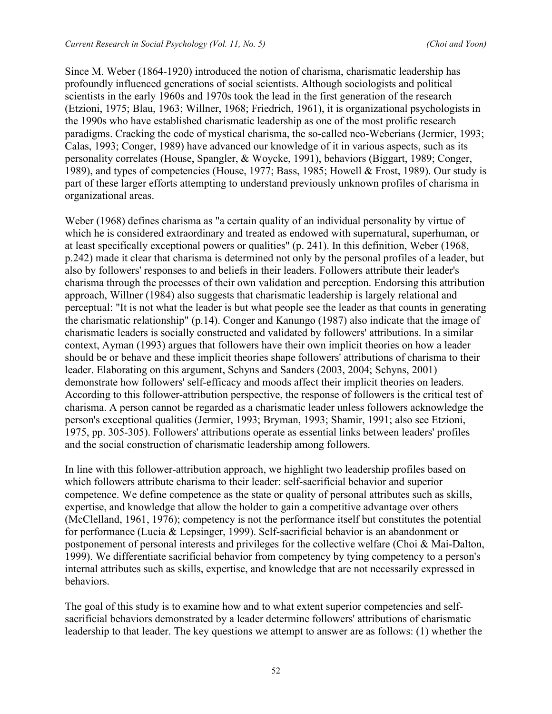Since M. Weber (1864-1920) introduced the notion of charisma, charismatic leadership has profoundly influenced generations of social scientists. Although sociologists and political scientists in the early 1960s and 1970s took the lead in the first generation of the research (Etzioni, 1975; Blau, 1963; Willner, 1968; Friedrich, 1961), it is organizational psychologists in the 1990s who have established charismatic leadership as one of the most prolific research paradigms. Cracking the code of mystical charisma, the so-called neo-Weberians (Jermier, 1993; Calas, 1993; Conger, 1989) have advanced our knowledge of it in various aspects, such as its personality correlates (House, Spangler, & Woycke, 1991), behaviors (Biggart, 1989; Conger, 1989), and types of competencies (House, 1977; Bass, 1985; Howell & Frost, 1989). Our study is part of these larger efforts attempting to understand previously unknown profiles of charisma in organizational areas.

Weber (1968) defines charisma as "a certain quality of an individual personality by virtue of which he is considered extraordinary and treated as endowed with supernatural, superhuman, or at least specifically exceptional powers or qualities" (p. 241). In this definition, Weber (1968, p.242) made it clear that charisma is determined not only by the personal profiles of a leader, but also by followers' responses to and beliefs in their leaders. Followers attribute their leader's charisma through the processes of their own validation and perception. Endorsing this attribution approach, Willner (1984) also suggests that charismatic leadership is largely relational and perceptual: "It is not what the leader is but what people see the leader as that counts in generating the charismatic relationship" (p.14). Conger and Kanungo (1987) also indicate that the image of charismatic leaders is socially constructed and validated by followers' attributions. In a similar context, Ayman (1993) argues that followers have their own implicit theories on how a leader should be or behave and these implicit theories shape followers' attributions of charisma to their leader. Elaborating on this argument, Schyns and Sanders (2003, 2004; Schyns, 2001) demonstrate how followers' self-efficacy and moods affect their implicit theories on leaders. According to this follower-attribution perspective, the response of followers is the critical test of charisma. A person cannot be regarded as a charismatic leader unless followers acknowledge the person's exceptional qualities (Jermier, 1993; Bryman, 1993; Shamir, 1991; also see Etzioni, 1975, pp. 305-305). Followers' attributions operate as essential links between leaders' profiles and the social construction of charismatic leadership among followers.

In line with this follower-attribution approach, we highlight two leadership profiles based on which followers attribute charisma to their leader: self-sacrificial behavior and superior competence. We define competence as the state or quality of personal attributes such as skills, expertise, and knowledge that allow the holder to gain a competitive advantage over others (McClelland, 1961, 1976); competency is not the performance itself but constitutes the potential for performance (Lucia & Lepsinger, 1999). Self-sacrificial behavior is an abandonment or postponement of personal interests and privileges for the collective welfare (Choi & Mai-Dalton, 1999). We differentiate sacrificial behavior from competency by tying competency to a person's internal attributes such as skills, expertise, and knowledge that are not necessarily expressed in behaviors.

The goal of this study is to examine how and to what extent superior competencies and selfsacrificial behaviors demonstrated by a leader determine followers' attributions of charismatic leadership to that leader. The key questions we attempt to answer are as follows: (1) whether the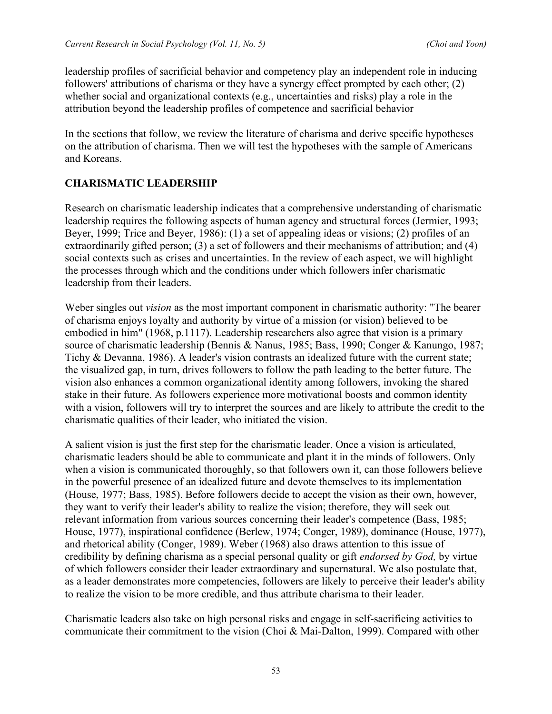leadership profiles of sacrificial behavior and competency play an independent role in inducing followers' attributions of charisma or they have a synergy effect prompted by each other; (2) whether social and organizational contexts (e.g., uncertainties and risks) play a role in the attribution beyond the leadership profiles of competence and sacrificial behavior

In the sections that follow, we review the literature of charisma and derive specific hypotheses on the attribution of charisma. Then we will test the hypotheses with the sample of Americans and Koreans.

#### **CHARISMATIC LEADERSHIP**

Research on charismatic leadership indicates that a comprehensive understanding of charismatic leadership requires the following aspects of human agency and structural forces (Jermier, 1993; Beyer, 1999; Trice and Beyer, 1986): (1) a set of appealing ideas or visions; (2) profiles of an extraordinarily gifted person; (3) a set of followers and their mechanisms of attribution; and (4) social contexts such as crises and uncertainties. In the review of each aspect, we will highlight the processes through which and the conditions under which followers infer charismatic leadership from their leaders.

Weber singles out *vision* as the most important component in charismatic authority: "The bearer of charisma enjoys loyalty and authority by virtue of a mission (or vision) believed to be embodied in him" (1968, p.1117). Leadership researchers also agree that vision is a primary source of charismatic leadership (Bennis & Nanus, 1985; Bass, 1990; Conger & Kanungo, 1987; Tichy & Devanna, 1986). A leader's vision contrasts an idealized future with the current state; the visualized gap, in turn, drives followers to follow the path leading to the better future. The vision also enhances a common organizational identity among followers, invoking the shared stake in their future. As followers experience more motivational boosts and common identity with a vision, followers will try to interpret the sources and are likely to attribute the credit to the charismatic qualities of their leader, who initiated the vision.

A salient vision is just the first step for the charismatic leader. Once a vision is articulated, charismatic leaders should be able to communicate and plant it in the minds of followers. Only when a vision is communicated thoroughly, so that followers own it, can those followers believe in the powerful presence of an idealized future and devote themselves to its implementation (House, 1977; Bass, 1985). Before followers decide to accept the vision as their own, however, they want to verify their leader's ability to realize the vision; therefore, they will seek out relevant information from various sources concerning their leader's competence (Bass, 1985; House, 1977), inspirational confidence (Berlew, 1974; Conger, 1989), dominance (House, 1977), and rhetorical ability (Conger, 1989). Weber (1968) also draws attention to this issue of credibility by defining charisma as a special personal quality or gift *endorsed by God,* by virtue of which followers consider their leader extraordinary and supernatural. We also postulate that, as a leader demonstrates more competencies, followers are likely to perceive their leader's ability to realize the vision to be more credible, and thus attribute charisma to their leader.

Charismatic leaders also take on high personal risks and engage in self-sacrificing activities to communicate their commitment to the vision (Choi & Mai-Dalton, 1999). Compared with other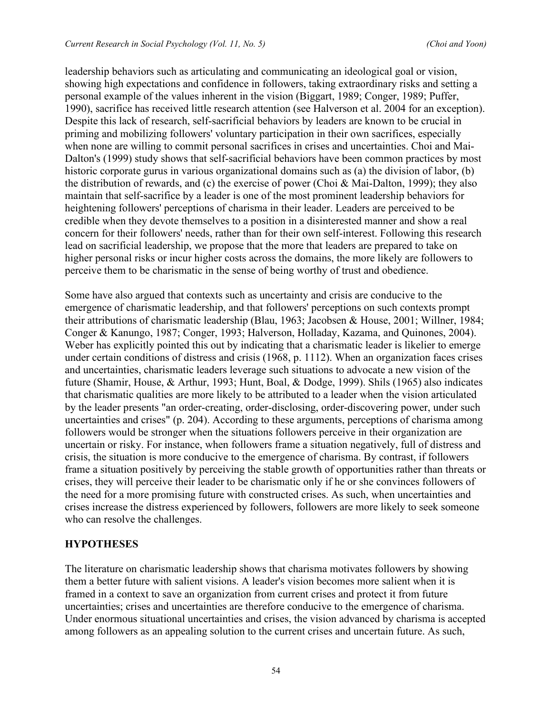leadership behaviors such as articulating and communicating an ideological goal or vision, showing high expectations and confidence in followers, taking extraordinary risks and setting a personal example of the values inherent in the vision (Biggart, 1989; Conger, 1989; Puffer, 1990), sacrifice has received little research attention (see Halverson et al. 2004 for an exception). Despite this lack of research, self-sacrificial behaviors by leaders are known to be crucial in priming and mobilizing followers' voluntary participation in their own sacrifices, especially when none are willing to commit personal sacrifices in crises and uncertainties. Choi and Mai-Dalton's (1999) study shows that self-sacrificial behaviors have been common practices by most historic corporate gurus in various organizational domains such as (a) the division of labor, (b) the distribution of rewards, and (c) the exercise of power (Choi & Mai-Dalton, 1999); they also maintain that self-sacrifice by a leader is one of the most prominent leadership behaviors for heightening followers' perceptions of charisma in their leader. Leaders are perceived to be credible when they devote themselves to a position in a disinterested manner and show a real concern for their followers' needs, rather than for their own self-interest. Following this research lead on sacrificial leadership, we propose that the more that leaders are prepared to take on higher personal risks or incur higher costs across the domains, the more likely are followers to perceive them to be charismatic in the sense of being worthy of trust and obedience.

Some have also argued that contexts such as uncertainty and crisis are conducive to the emergence of charismatic leadership, and that followers' perceptions on such contexts prompt their attributions of charismatic leadership (Blau, 1963; Jacobsen & House, 2001; Willner, 1984; Conger & Kanungo, 1987; Conger, 1993; Halverson, Holladay, Kazama, and Quinones, 2004). Weber has explicitly pointed this out by indicating that a charismatic leader is likelier to emerge under certain conditions of distress and crisis (1968, p. 1112). When an organization faces crises and uncertainties, charismatic leaders leverage such situations to advocate a new vision of the future (Shamir, House, & Arthur, 1993; Hunt, Boal, & Dodge, 1999). Shils (1965) also indicates that charismatic qualities are more likely to be attributed to a leader when the vision articulated by the leader presents "an order-creating, order-disclosing, order-discovering power, under such uncertainties and crises" (p. 204). According to these arguments, perceptions of charisma among followers would be stronger when the situations followers perceive in their organization are uncertain or risky. For instance, when followers frame a situation negatively, full of distress and crisis, the situation is more conducive to the emergence of charisma. By contrast, if followers frame a situation positively by perceiving the stable growth of opportunities rather than threats or crises, they will perceive their leader to be charismatic only if he or she convinces followers of the need for a more promising future with constructed crises. As such, when uncertainties and crises increase the distress experienced by followers, followers are more likely to seek someone who can resolve the challenges.

#### **HYPOTHESES**

The literature on charismatic leadership shows that charisma motivates followers by showing them a better future with salient visions. A leader's vision becomes more salient when it is framed in a context to save an organization from current crises and protect it from future uncertainties; crises and uncertainties are therefore conducive to the emergence of charisma. Under enormous situational uncertainties and crises, the vision advanced by charisma is accepted among followers as an appealing solution to the current crises and uncertain future. As such,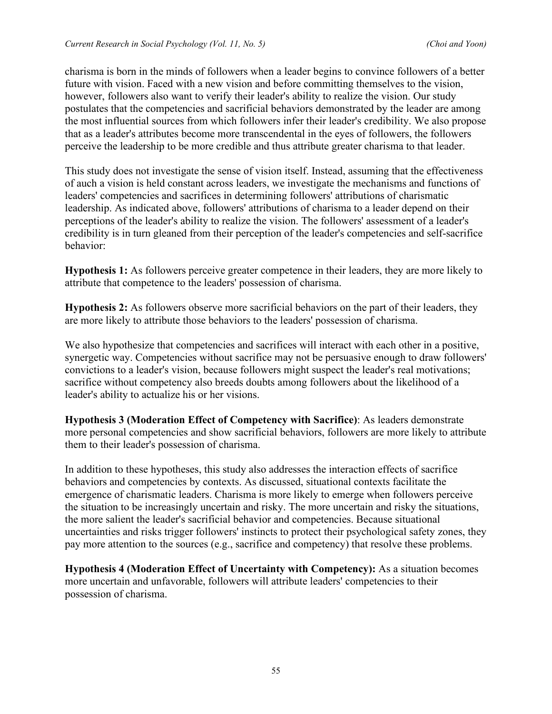charisma is born in the minds of followers when a leader begins to convince followers of a better future with vision. Faced with a new vision and before committing themselves to the vision, however, followers also want to verify their leader's ability to realize the vision. Our study postulates that the competencies and sacrificial behaviors demonstrated by the leader are among the most influential sources from which followers infer their leader's credibility. We also propose that as a leader's attributes become more transcendental in the eyes of followers, the followers perceive the leadership to be more credible and thus attribute greater charisma to that leader.

This study does not investigate the sense of vision itself. Instead, assuming that the effectiveness of auch a vision is held constant across leaders, we investigate the mechanisms and functions of leaders' competencies and sacrifices in determining followers' attributions of charismatic leadership. As indicated above, followers' attributions of charisma to a leader depend on their perceptions of the leader's ability to realize the vision. The followers' assessment of a leader's credibility is in turn gleaned from their perception of the leader's competencies and self-sacrifice behavior:

**Hypothesis 1:** As followers perceive greater competence in their leaders, they are more likely to attribute that competence to the leaders' possession of charisma.

**Hypothesis 2:** As followers observe more sacrificial behaviors on the part of their leaders, they are more likely to attribute those behaviors to the leaders' possession of charisma.

We also hypothesize that competencies and sacrifices will interact with each other in a positive, synergetic way. Competencies without sacrifice may not be persuasive enough to draw followers' convictions to a leader's vision, because followers might suspect the leader's real motivations; sacrifice without competency also breeds doubts among followers about the likelihood of a leader's ability to actualize his or her visions.

**Hypothesis 3 (Moderation Effect of Competency with Sacrifice)**: As leaders demonstrate more personal competencies and show sacrificial behaviors, followers are more likely to attribute them to their leader's possession of charisma.

In addition to these hypotheses, this study also addresses the interaction effects of sacrifice behaviors and competencies by contexts. As discussed, situational contexts facilitate the emergence of charismatic leaders. Charisma is more likely to emerge when followers perceive the situation to be increasingly uncertain and risky. The more uncertain and risky the situations, the more salient the leader's sacrificial behavior and competencies. Because situational uncertainties and risks trigger followers' instincts to protect their psychological safety zones, they pay more attention to the sources (e.g., sacrifice and competency) that resolve these problems.

**Hypothesis 4 (Moderation Effect of Uncertainty with Competency):** As a situation becomes more uncertain and unfavorable, followers will attribute leaders' competencies to their possession of charisma.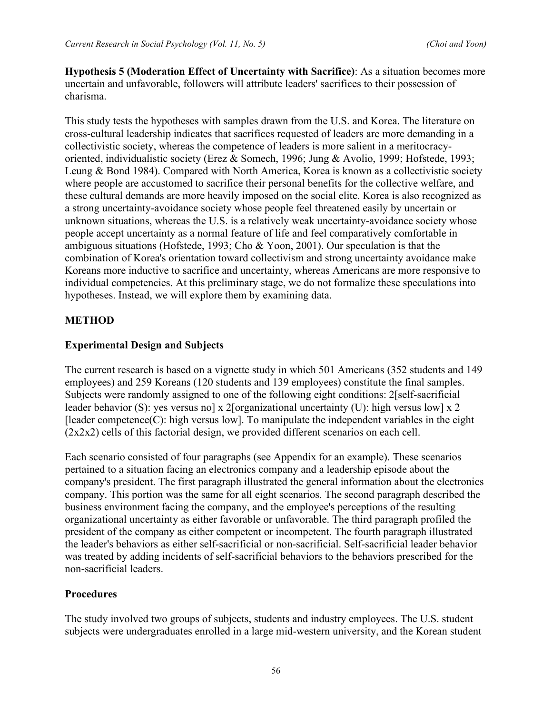**Hypothesis 5 (Moderation Effect of Uncertainty with Sacrifice)**: As a situation becomes more uncertain and unfavorable, followers will attribute leaders' sacrifices to their possession of charisma.

This study tests the hypotheses with samples drawn from the U.S. and Korea. The literature on cross-cultural leadership indicates that sacrifices requested of leaders are more demanding in a collectivistic society, whereas the competence of leaders is more salient in a meritocracyoriented, individualistic society (Erez & Somech, 1996; Jung & Avolio, 1999; Hofstede, 1993; Leung & Bond 1984). Compared with North America, Korea is known as a collectivistic society where people are accustomed to sacrifice their personal benefits for the collective welfare, and these cultural demands are more heavily imposed on the social elite. Korea is also recognized as a strong uncertainty-avoidance society whose people feel threatened easily by uncertain or unknown situations, whereas the U.S. is a relatively weak uncertainty-avoidance society whose people accept uncertainty as a normal feature of life and feel comparatively comfortable in ambiguous situations (Hofstede, 1993; Cho & Yoon, 2001). Our speculation is that the combination of Korea's orientation toward collectivism and strong uncertainty avoidance make Koreans more inductive to sacrifice and uncertainty, whereas Americans are more responsive to individual competencies. At this preliminary stage, we do not formalize these speculations into hypotheses. Instead, we will explore them by examining data.

# **METHOD**

# **Experimental Design and Subjects**

The current research is based on a vignette study in which 501 Americans (352 students and 149 employees) and 259 Koreans (120 students and 139 employees) constitute the final samples. Subjects were randomly assigned to one of the following eight conditions: 2[self-sacrificial leader behavior (S): yes versus no] x 2[organizational uncertainty (U): high versus low] x 2  $[leader$  competence $(C)$ : high versus low]. To manipulate the independent variables in the eight (2x2x2) cells of this factorial design, we provided different scenarios on each cell.

Each scenario consisted of four paragraphs (see Appendix for an example). These scenarios pertained to a situation facing an electronics company and a leadership episode about the company's president. The first paragraph illustrated the general information about the electronics company. This portion was the same for all eight scenarios. The second paragraph described the business environment facing the company, and the employee's perceptions of the resulting organizational uncertainty as either favorable or unfavorable. The third paragraph profiled the president of the company as either competent or incompetent. The fourth paragraph illustrated the leader's behaviors as either self-sacrificial or non-sacrificial. Self-sacrificial leader behavior was treated by adding incidents of self-sacrificial behaviors to the behaviors prescribed for the non-sacrificial leaders.

# **Procedures**

The study involved two groups of subjects, students and industry employees. The U.S. student subjects were undergraduates enrolled in a large mid-western university, and the Korean student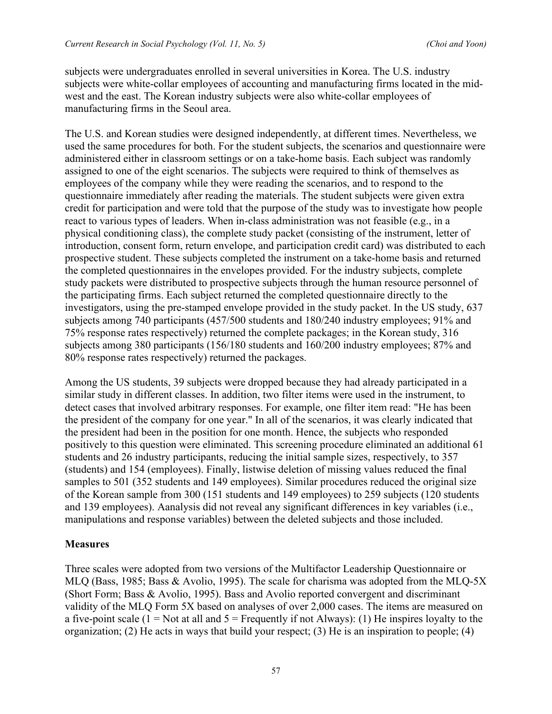subjects were undergraduates enrolled in several universities in Korea. The U.S. industry subjects were white-collar employees of accounting and manufacturing firms located in the midwest and the east. The Korean industry subjects were also white-collar employees of manufacturing firms in the Seoul area.

The U.S. and Korean studies were designed independently, at different times. Nevertheless, we used the same procedures for both. For the student subjects, the scenarios and questionnaire were administered either in classroom settings or on a take-home basis. Each subject was randomly assigned to one of the eight scenarios. The subjects were required to think of themselves as employees of the company while they were reading the scenarios, and to respond to the questionnaire immediately after reading the materials. The student subjects were given extra credit for participation and were told that the purpose of the study was to investigate how people react to various types of leaders. When in-class administration was not feasible (e.g., in a physical conditioning class), the complete study packet (consisting of the instrument, letter of introduction, consent form, return envelope, and participation credit card) was distributed to each prospective student. These subjects completed the instrument on a take-home basis and returned the completed questionnaires in the envelopes provided. For the industry subjects, complete study packets were distributed to prospective subjects through the human resource personnel of the participating firms. Each subject returned the completed questionnaire directly to the investigators, using the pre-stamped envelope provided in the study packet. In the US study, 637 subjects among 740 participants (457/500 students and 180/240 industry employees; 91% and 75% response rates respectively) returned the complete packages; in the Korean study, 316 subjects among 380 participants (156/180 students and 160/200 industry employees; 87% and 80% response rates respectively) returned the packages.

Among the US students, 39 subjects were dropped because they had already participated in a similar study in different classes. In addition, two filter items were used in the instrument, to detect cases that involved arbitrary responses. For example, one filter item read: "He has been the president of the company for one year." In all of the scenarios, it was clearly indicated that the president had been in the position for one month. Hence, the subjects who responded positively to this question were eliminated. This screening procedure eliminated an additional 61 students and 26 industry participants, reducing the initial sample sizes, respectively, to 357 (students) and 154 (employees). Finally, listwise deletion of missing values reduced the final samples to 501 (352 students and 149 employees). Similar procedures reduced the original size of the Korean sample from 300 (151 students and 149 employees) to 259 subjects (120 students and 139 employees). Aanalysis did not reveal any significant differences in key variables (i.e., manipulations and response variables) between the deleted subjects and those included.

#### **Measures**

Three scales were adopted from two versions of the Multifactor Leadership Questionnaire or MLQ (Bass, 1985; Bass & Avolio, 1995). The scale for charisma was adopted from the MLQ-5X (Short Form; Bass & Avolio, 1995). Bass and Avolio reported convergent and discriminant validity of the MLQ Form 5X based on analyses of over 2,000 cases. The items are measured on a five-point scale (1 = Not at all and  $5$  = Frequently if not Always): (1) He inspires loyalty to the organization; (2) He acts in ways that build your respect; (3) He is an inspiration to people; (4)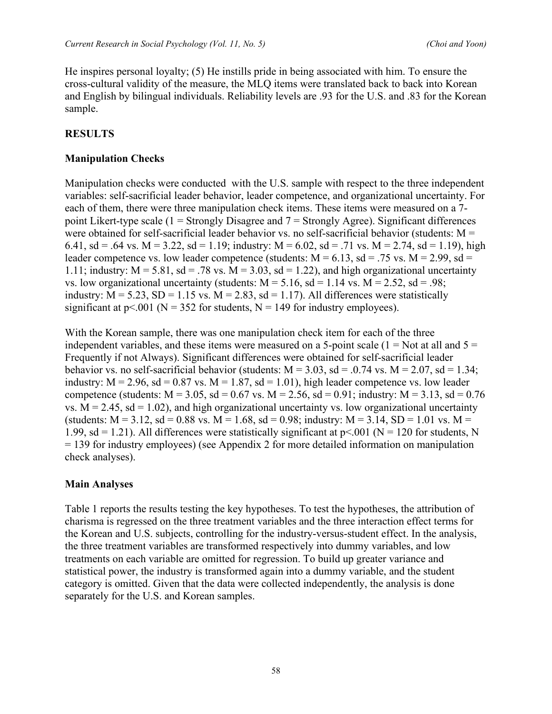He inspires personal loyalty; (5) He instills pride in being associated with him. To ensure the cross-cultural validity of the measure, the MLQ items were translated back to back into Korean and English by bilingual individuals. Reliability levels are .93 for the U.S. and .83 for the Korean sample.

#### **RESULTS**

#### **Manipulation Checks**

Manipulation checks were conducted with the U.S. sample with respect to the three independent variables: self-sacrificial leader behavior, leader competence, and organizational uncertainty. For each of them, there were three manipulation check items. These items were measured on a 7 point Likert-type scale  $(1 -$ Strongly Disagree and  $7 -$ Strongly Agree). Significant differences were obtained for self-sacrificial leader behavior vs. no self-sacrificial behavior (students: M = 6.41, sd = .64 vs. M = 3.22, sd = 1.19; industry: M = 6.02, sd = .71 vs. M = 2.74, sd = 1.19), high leader competence vs. low leader competence (students:  $M = 6.13$ , sd = .75 vs.  $M = 2.99$ , sd = 1.11; industry:  $M = 5.81$ , sd = .78 vs.  $M = 3.03$ , sd = 1.22), and high organizational uncertainty vs. low organizational uncertainty (students:  $M = 5.16$ , sd = 1.14 vs.  $M = 2.52$ , sd = .98; industry:  $M = 5.23$ ,  $SD = 1.15$  vs.  $M = 2.83$ ,  $sd = 1.17$ ). All differences were statistically significant at  $p < 001$  (N = 352 for students, N = 149 for industry employees).

With the Korean sample, there was one manipulation check item for each of the three independent variables, and these items were measured on a 5-point scale  $(1 = Not at all and 5 =$ Frequently if not Always). Significant differences were obtained for self-sacrificial leader behavior vs. no self-sacrificial behavior (students:  $M = 3.03$ , sd = .0.74 vs.  $M = 2.07$ , sd = 1.34; industry:  $M = 2.96$ , sd = 0.87 vs.  $M = 1.87$ , sd = 1.01), high leader competence vs. low leader competence (students:  $M = 3.05$ , sd = 0.67 vs.  $M = 2.56$ , sd = 0.91; industry:  $M = 3.13$ , sd = 0.76 vs.  $M = 2.45$ , sd = 1.02), and high organizational uncertainty vs. low organizational uncertainty (students:  $M = 3.12$ , sd = 0.88 vs.  $M = 1.68$ , sd = 0.98; industry:  $M = 3.14$ , SD = 1.01 vs.  $M =$ 1.99, sd = 1.21). All differences were statistically significant at  $p<.001$  (N = 120 for students, N = 139 for industry employees) (see Appendix 2 for more detailed information on manipulation check analyses).

#### **Main Analyses**

Table 1 reports the results testing the key hypotheses. To test the hypotheses, the attribution of charisma is regressed on the three treatment variables and the three interaction effect terms for the Korean and U.S. subjects, controlling for the industry-versus-student effect. In the analysis, the three treatment variables are transformed respectively into dummy variables, and low treatments on each variable are omitted for regression. To build up greater variance and statistical power, the industry is transformed again into a dummy variable, and the student category is omitted. Given that the data were collected independently, the analysis is done separately for the U.S. and Korean samples.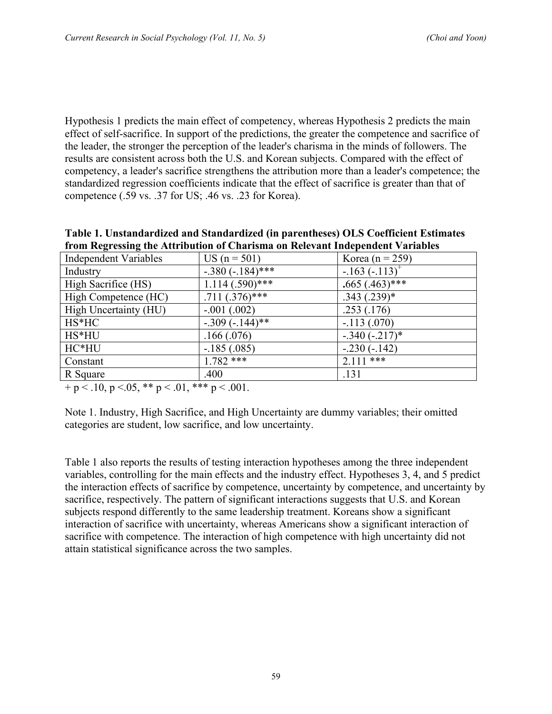Hypothesis 1 predicts the main effect of competency, whereas Hypothesis 2 predicts the main effect of self-sacrifice. In support of the predictions, the greater the competence and sacrifice of the leader, the stronger the perception of the leader's charisma in the minds of followers. The results are consistent across both the U.S. and Korean subjects. Compared with the effect of competency, a leader's sacrifice strengthens the attribution more than a leader's competence; the standardized regression coefficients indicate that the effect of sacrifice is greater than that of competence (.59 vs. .37 for US; .46 vs. .23 for Korea).

| Table 1. Unstandardized and Standardized (in parentheses) OLS Coefficient Estimates |
|-------------------------------------------------------------------------------------|
| from Regressing the Attribution of Charisma on Relevant Independent Variables       |

| <b>Independent Variables</b> | US $(n = 501)$     | Korea (n = 259)    |
|------------------------------|--------------------|--------------------|
| Industry                     | $-.380 (-184)$ *** | $-.163(-.113)^{4}$ |
| High Sacrifice (HS)          | $1.114(.590)$ ***  | $.665(.463)$ ***   |
| High Competence (HC)         | $.711(.376)$ ***   | $.343(.239)*$      |
| High Uncertainty (HU)        | $-.001(.002)$      | .253(.176)         |
| HS*HC                        | $-.309(-.144)$ **  | $-.113(.070)$      |
| HS*HU                        | .166(.076)         | $-.340(-.217)$ *   |
| HC*HU                        | $-185(.085)$       | $-.230(-.142)$     |
| Constant                     | $1.782***$         | $2.111***$         |
| R Square                     | .400               | .131               |

 $+ p < 0.10, p < 0.05, ** p < 0.01, *** p < 0.001.$ 

Note 1. Industry, High Sacrifice, and High Uncertainty are dummy variables; their omitted categories are student, low sacrifice, and low uncertainty.

Table 1 also reports the results of testing interaction hypotheses among the three independent variables, controlling for the main effects and the industry effect. Hypotheses 3, 4, and 5 predict the interaction effects of sacrifice by competence, uncertainty by competence, and uncertainty by sacrifice, respectively. The pattern of significant interactions suggests that U.S. and Korean subjects respond differently to the same leadership treatment. Koreans show a significant interaction of sacrifice with uncertainty, whereas Americans show a significant interaction of sacrifice with competence. The interaction of high competence with high uncertainty did not attain statistical significance across the two samples.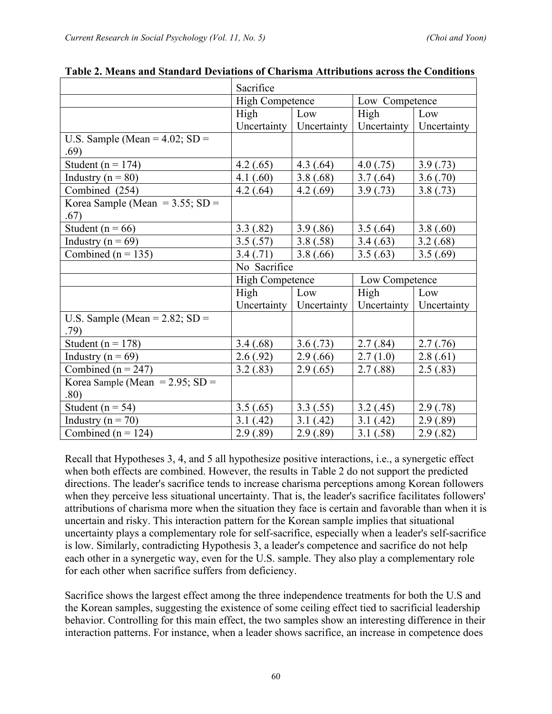|                                    | Sacrifice              |                           |                |             |
|------------------------------------|------------------------|---------------------------|----------------|-------------|
|                                    | <b>High Competence</b> |                           | Low Competence |             |
|                                    | High                   | Low                       | High           | Low         |
|                                    |                        | Uncertainty   Uncertainty | Uncertainty    | Uncertainty |
| U.S. Sample (Mean = $4.02$ ; SD =  |                        |                           |                |             |
| .69)                               |                        |                           |                |             |
| Student ( $n = 174$ )              | 4.2(0.65)              | 4.3(0.64)                 | 4.0(0.75)      | 3.9(0.73)   |
| Industry ( $n = 80$ )              | 4.1(0.60)              | 3.8(.68)                  | 3.7(0.64)      | 3.6(.70)    |
| Combined (254)                     | 4.2(.64)               | 4.2(0.69)                 | 3.9(0.73)      | 3.8(.73)    |
| Korea Sample (Mean = $3.55$ ; SD = |                        |                           |                |             |
| .67)                               |                        |                           |                |             |
| Student ( $n = 66$ )               | 3.3(.82)               | 3.9(.86)                  | 3.5(.64)       | 3.8(.60)    |
| Industry ( $n = 69$ )              | 3.5(.57)               | 3.8(.58)                  | 3.4(.63)       | 3.2(0.68)   |
| Combined ( $n = 135$ )             | 3.4(.71)               | 3.8(.66)                  | 3.5(.63)       | 3.5(.69)    |
|                                    | No Sacrifice           |                           |                |             |
|                                    | <b>High Competence</b> |                           | Low Competence |             |
|                                    | High                   | Low                       | High           | Low         |
|                                    |                        | Uncertainty   Uncertainty | Uncertainty    | Uncertainty |
| U.S. Sample (Mean = $2.82$ ; SD =  |                        |                           |                |             |
| .79)                               |                        |                           |                |             |
| Student ( $n = 178$ )              | 3.4(.68)               | 3.6(.73)                  | 2.7(.84)       | 2.7(0.76)   |
| Industry ( $n = 69$ )              | 2.6(.92)               | 2.9(.66)                  | 2.7(1.0)       | 2.8(.61)    |
| Combined ( $n = 247$ )             | 3.2(.83)               | 2.9(.65)                  | 2.7(.88)       | 2.5(.83)    |
| Korea Sample (Mean = $2.95$ ; SD = |                        |                           |                |             |
| .80)                               |                        |                           |                |             |
| Student ( $n = 54$ )               | 3.5(.65)               | 3.3(.55)                  | 3.2(0.45)      | 2.9(0.78)   |
| Industry ( $n = 70$ )              | 3.1(42)                | 3.1(42)                   | 3.1(42)        | 2.9(.89)    |
| Combined ( $n = 124$ )             | 2.9(.89)               | 2.9(.89)                  | 3.1(.58)       | 2.9(0.82)   |

**Table 2. Means and Standard Deviations of Charisma Attributions across the Conditions**

Recall that Hypotheses 3, 4, and 5 all hypothesize positive interactions, i.e., a synergetic effect when both effects are combined. However, the results in Table 2 do not support the predicted directions. The leader's sacrifice tends to increase charisma perceptions among Korean followers when they perceive less situational uncertainty. That is, the leader's sacrifice facilitates followers' attributions of charisma more when the situation they face is certain and favorable than when it is uncertain and risky. This interaction pattern for the Korean sample implies that situational uncertainty plays a complementary role for self-sacrifice, especially when a leader's self-sacrifice is low. Similarly, contradicting Hypothesis 3, a leader's competence and sacrifice do not help each other in a synergetic way, even for the U.S. sample. They also play a complementary role for each other when sacrifice suffers from deficiency.

Sacrifice shows the largest effect among the three independence treatments for both the U.S and the Korean samples, suggesting the existence of some ceiling effect tied to sacrificial leadership behavior. Controlling for this main effect, the two samples show an interesting difference in their interaction patterns. For instance, when a leader shows sacrifice, an increase in competence does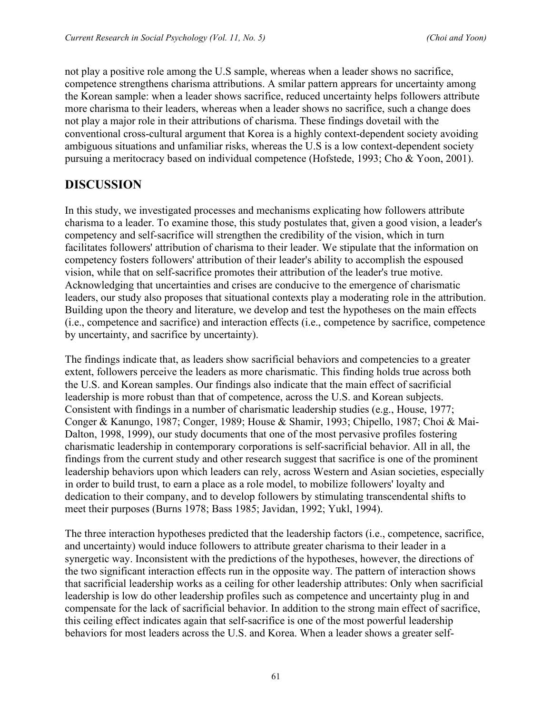not play a positive role among the U.S sample, whereas when a leader shows no sacrifice, competence strengthens charisma attributions. A smilar pattern apprears for uncertainty among the Korean sample: when a leader shows sacrifice, reduced uncertainty helps followers attribute more charisma to their leaders, whereas when a leader shows no sacrifice, such a change does not play a major role in their attributions of charisma. These findings dovetail with the conventional cross-cultural argument that Korea is a highly context-dependent society avoiding ambiguous situations and unfamiliar risks, whereas the U.S is a low context-dependent society pursuing a meritocracy based on individual competence (Hofstede, 1993; Cho & Yoon, 2001).

# **DISCUSSION**

In this study, we investigated processes and mechanisms explicating how followers attribute charisma to a leader. To examine those, this study postulates that, given a good vision, a leader's competency and self-sacrifice will strengthen the credibility of the vision, which in turn facilitates followers' attribution of charisma to their leader. We stipulate that the information on competency fosters followers' attribution of their leader's ability to accomplish the espoused vision, while that on self-sacrifice promotes their attribution of the leader's true motive. Acknowledging that uncertainties and crises are conducive to the emergence of charismatic leaders, our study also proposes that situational contexts play a moderating role in the attribution. Building upon the theory and literature, we develop and test the hypotheses on the main effects (i.e., competence and sacrifice) and interaction effects (i.e., competence by sacrifice, competence by uncertainty, and sacrifice by uncertainty).

The findings indicate that, as leaders show sacrificial behaviors and competencies to a greater extent, followers perceive the leaders as more charismatic. This finding holds true across both the U.S. and Korean samples. Our findings also indicate that the main effect of sacrificial leadership is more robust than that of competence, across the U.S. and Korean subjects. Consistent with findings in a number of charismatic leadership studies (e.g., House, 1977; Conger & Kanungo, 1987; Conger, 1989; House & Shamir, 1993; Chipello, 1987; Choi & Mai-Dalton, 1998, 1999), our study documents that one of the most pervasive profiles fostering charismatic leadership in contemporary corporations is self-sacrificial behavior. All in all, the findings from the current study and other research suggest that sacrifice is one of the prominent leadership behaviors upon which leaders can rely, across Western and Asian societies, especially in order to build trust, to earn a place as a role model, to mobilize followers' loyalty and dedication to their company, and to develop followers by stimulating transcendental shifts to meet their purposes (Burns 1978; Bass 1985; Javidan, 1992; Yukl, 1994).

The three interaction hypotheses predicted that the leadership factors (i.e., competence, sacrifice, and uncertainty) would induce followers to attribute greater charisma to their leader in a synergetic way. Inconsistent with the predictions of the hypotheses, however, the directions of the two significant interaction effects run in the opposite way. The pattern of interaction shows that sacrificial leadership works as a ceiling for other leadership attributes: Only when sacrificial leadership is low do other leadership profiles such as competence and uncertainty plug in and compensate for the lack of sacrificial behavior. In addition to the strong main effect of sacrifice, this ceiling effect indicates again that self-sacrifice is one of the most powerful leadership behaviors for most leaders across the U.S. and Korea. When a leader shows a greater self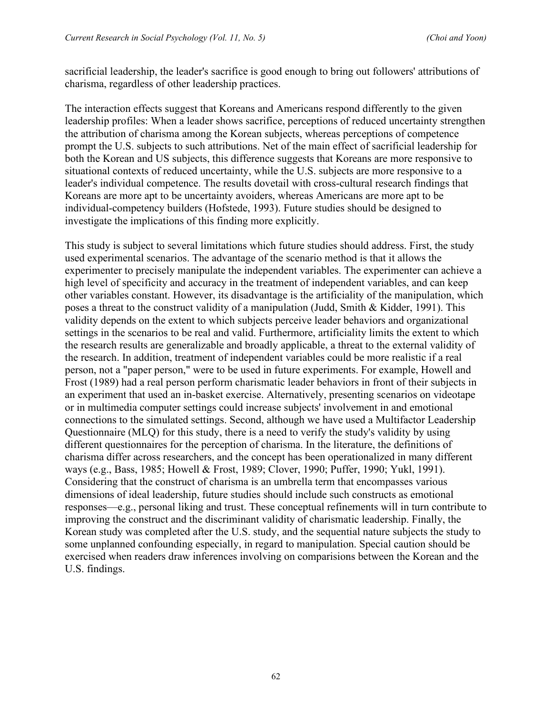sacrificial leadership, the leader's sacrifice is good enough to bring out followers' attributions of charisma, regardless of other leadership practices.

The interaction effects suggest that Koreans and Americans respond differently to the given leadership profiles: When a leader shows sacrifice, perceptions of reduced uncertainty strengthen the attribution of charisma among the Korean subjects, whereas perceptions of competence prompt the U.S. subjects to such attributions. Net of the main effect of sacrificial leadership for both the Korean and US subjects, this difference suggests that Koreans are more responsive to situational contexts of reduced uncertainty, while the U.S. subjects are more responsive to a leader's individual competence. The results dovetail with cross-cultural research findings that Koreans are more apt to be uncertainty avoiders, whereas Americans are more apt to be individual-competency builders (Hofstede, 1993). Future studies should be designed to investigate the implications of this finding more explicitly.

This study is subject to several limitations which future studies should address. First, the study used experimental scenarios. The advantage of the scenario method is that it allows the experimenter to precisely manipulate the independent variables. The experimenter can achieve a high level of specificity and accuracy in the treatment of independent variables, and can keep other variables constant. However, its disadvantage is the artificiality of the manipulation, which poses a threat to the construct validity of a manipulation (Judd, Smith & Kidder, 1991). This validity depends on the extent to which subjects perceive leader behaviors and organizational settings in the scenarios to be real and valid. Furthermore, artificiality limits the extent to which the research results are generalizable and broadly applicable, a threat to the external validity of the research. In addition, treatment of independent variables could be more realistic if a real person, not a "paper person," were to be used in future experiments. For example, Howell and Frost (1989) had a real person perform charismatic leader behaviors in front of their subjects in an experiment that used an in-basket exercise. Alternatively, presenting scenarios on videotape or in multimedia computer settings could increase subjects' involvement in and emotional connections to the simulated settings. Second, although we have used a Multifactor Leadership Questionnaire (MLQ) for this study, there is a need to verify the study's validity by using different questionnaires for the perception of charisma. In the literature, the definitions of charisma differ across researchers, and the concept has been operationalized in many different ways (e.g., Bass, 1985; Howell & Frost, 1989; Clover, 1990; Puffer, 1990; Yukl, 1991). Considering that the construct of charisma is an umbrella term that encompasses various dimensions of ideal leadership, future studies should include such constructs as emotional responses—e.g., personal liking and trust. These conceptual refinements will in turn contribute to improving the construct and the discriminant validity of charismatic leadership. Finally, the Korean study was completed after the U.S. study, and the sequential nature subjects the study to some unplanned confounding especially, in regard to manipulation. Special caution should be exercised when readers draw inferences involving on comparisions between the Korean and the U.S. findings.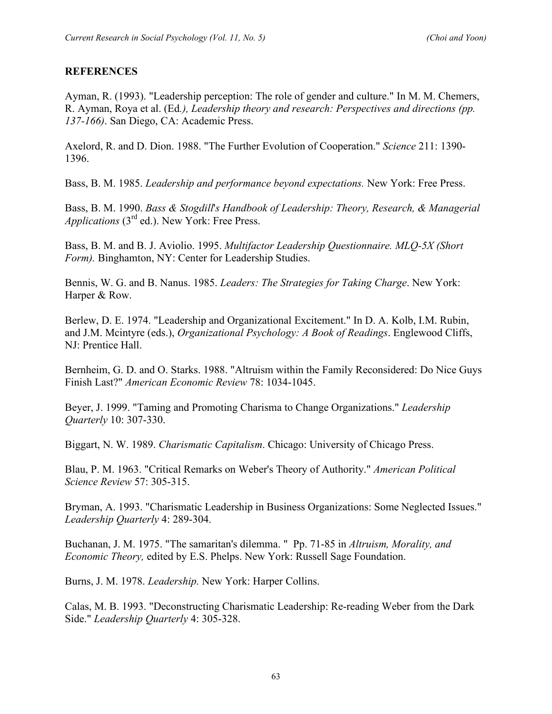#### **REFERENCES**

Ayman, R. (1993). "Leadership perception: The role of gender and culture." In M. M. Chemers, R. Ayman, Roya et al. (Ed*.), Leadership theory and research: Perspectives and directions (pp. 137-166)*. San Diego, CA: Academic Press.

Axelord, R. and D. Dion. 1988. "The Further Evolution of Cooperation." *Science* 211: 1390- 1396.

Bass, B. M. 1985. *Leadership and performance beyond expectations.* New York: Free Press.

Bass, B. M. 1990. *Bass & Stogdill*'*s Handbook of Leadership: Theory, Research, & Managerial Applications* (3rd ed.). New York: Free Press.

Bass, B. M. and B. J. Aviolio. 1995. *Multifactor Leadership Questionnaire. MLQ-5X (Short Form).* Binghamton, NY: Center for Leadership Studies.

Bennis, W. G. and B. Nanus. 1985. *Leaders: The Strategies for Taking Charge*. New York: Harper & Row.

Berlew, D. E. 1974. "Leadership and Organizational Excitement." In D. A. Kolb, I.M. Rubin, and J.M. Mcintyre (eds.), *Organizational Psychology: A Book of Readings*. Englewood Cliffs, NJ: Prentice Hall.

Bernheim, G. D. and O. Starks. 1988. "Altruism within the Family Reconsidered: Do Nice Guys Finish Last?" *American Economic Review* 78: 1034-1045.

Beyer, J. 1999. "Taming and Promoting Charisma to Change Organizations." *Leadership Quarterly* 10: 307-330.

Biggart, N. W. 1989. *Charismatic Capitalism*. Chicago: University of Chicago Press.

Blau, P. M. 1963. "Critical Remarks on Weber's Theory of Authority." *American Political Science Review* 57: 305-315.

Bryman, A. 1993. "Charismatic Leadership in Business Organizations: Some Neglected Issues." *Leadership Quarterly* 4: 289-304.

Buchanan, J. M. 1975. "The samaritan's dilemma. " Pp. 71-85 in *Altruism, Morality, and Economic Theory,* edited by E.S. Phelps. New York: Russell Sage Foundation.

Burns, J. M. 1978. *Leadership.* New York: Harper Collins.

Calas, M. B. 1993. "Deconstructing Charismatic Leadership: Re-reading Weber from the Dark Side." *Leadership Quarterly* 4: 305-328.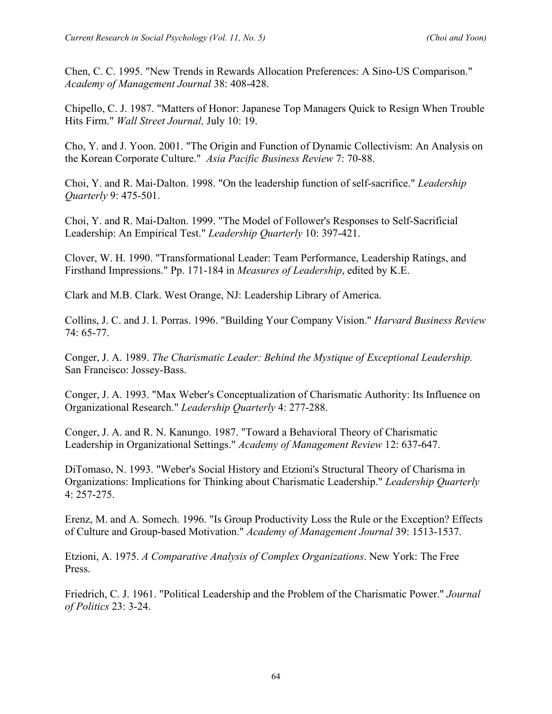Chen, C. C. 1995. "New Trends in Rewards Allocation Preferences: A Sino-US Comparison." *Academy of Management Journal* 38: 408-428.

Chipello, C. J. 1987. "Matters of Honor: Japanese Top Managers Quick to Resign When Trouble Hits Firm." *Wall Street Journal,* July 10: 19.

Cho, Y. and J. Yoon. 2001. "The Origin and Function of Dynamic Collectivism: An Analysis on the Korean Corporate Culture." *Asia Pacific Business Review* 7: 70-88.

Choi, Y. and R. Mai-Dalton. 1998. "On the leadership function of self-sacrifice." *Leadership Quarterly* 9: 475-501.

Choi, Y. and R. Mai-Dalton. 1999. "The Model of Follower's Responses to Self-Sacrificial Leadership: An Empirical Test." *Leadership Quarterly* 10: 397-421.

Clover, W. H. 1990. "Transformational Leader: Team Performance, Leadership Ratings, and Firsthand Impressions." Pp. 171-184 in *Measures of Leadership*, edited by K.E.

Clark and M.B. Clark. West Orange, NJ: Leadership Library of America.

Collins, J. C. and J. I. Porras. 1996. "Building Your Company Vision." *Harvard Business Review* 74: 65-77.

Conger, J. A. 1989. *The Charismatic Leader: Behind the Mystique of Exceptional Leadership.* San Francisco: Jossey-Bass.

Conger, J. A. 1993. "Max Weber's Conceptualization of Charismatic Authority: Its Influence on Organizational Research." *Leadership Quarterly* 4: 277-288.

Conger, J. A. and R. N. Kanungo. 1987. "Toward a Behavioral Theory of Charismatic Leadership in Organizational Settings." *Academy of Management Review* 12: 637-647.

DiTomaso, N. 1993. "Weber's Social History and Etzioni's Structural Theory of Charisma in Organizations: Implications for Thinking about Charismatic Leadership." *Leadership Quarterly* 4: 257-275.

Erenz, M. and A. Somech. 1996. "Is Group Productivity Loss the Rule or the Exception? Effects of Culture and Group-based Motivation." *Academy of Management Journal* 39: 1513-1537.

Etzioni, A. 1975. *A Comparative Analysis of Complex Organizations*. New York: The Free Press.

Friedrich, C. J. 1961. "Political Leadership and the Problem of the Charismatic Power." *Journal of Politics* 23: 3-24.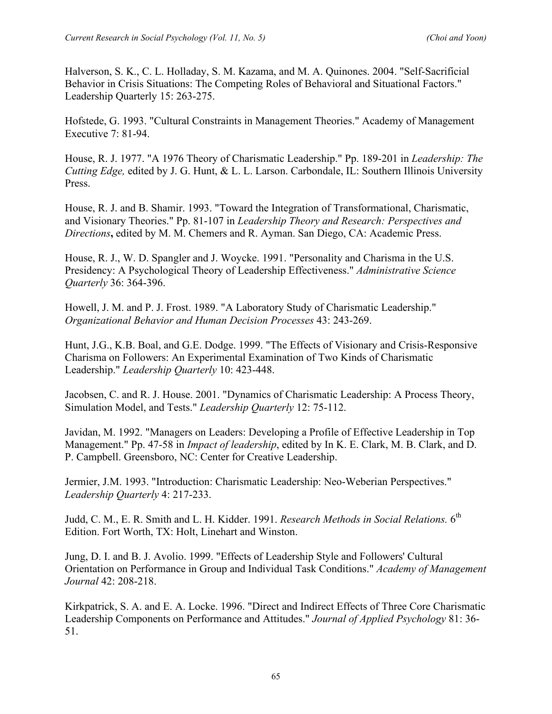Halverson, S. K., C. L. Holladay, S. M. Kazama, and M. A. Quinones. 2004. "Self-Sacrificial Behavior in Crisis Situations: The Competing Roles of Behavioral and Situational Factors." Leadership Quarterly 15: 263-275.

Hofstede, G. 1993. "Cultural Constraints in Management Theories." Academy of Management Executive 7: 81-94.

House, R. J. 1977. "A 1976 Theory of Charismatic Leadership." Pp. 189-201 in *Leadership: The Cutting Edge,* edited by J. G. Hunt, & L. L. Larson. Carbondale, IL: Southern Illinois University Press.

House, R. J. and B. Shamir. 1993. "Toward the Integration of Transformational, Charismatic, and Visionary Theories." Pp. 81-107 in *Leadership Theory and Research: Perspectives and Directions***,** edited by M. M. Chemers and R. Ayman. San Diego, CA: Academic Press.

House, R. J., W. D. Spangler and J. Woycke. 1991. "Personality and Charisma in the U.S. Presidency: A Psychological Theory of Leadership Effectiveness." *Administrative Science Quarterly* 36: 364-396.

Howell, J. M. and P. J. Frost. 1989. "A Laboratory Study of Charismatic Leadership." *Organizational Behavior and Human Decision Processes* 43: 243-269.

Hunt, J.G., K.B. Boal, and G.E. Dodge. 1999. "The Effects of Visionary and Crisis-Responsive Charisma on Followers: An Experimental Examination of Two Kinds of Charismatic Leadership." *Leadership Quarterly* 10: 423-448.

Jacobsen, C. and R. J. House. 2001. "Dynamics of Charismatic Leadership: A Process Theory, Simulation Model, and Tests." *Leadership Quarterly* 12: 75-112.

Javidan, M. 1992. "Managers on Leaders: Developing a Profile of Effective Leadership in Top Management." Pp. 47-58 in *Impact of leadership*, edited by In K. E. Clark, M. B. Clark, and D. P. Campbell. Greensboro, NC: Center for Creative Leadership.

Jermier, J.M. 1993. "Introduction: Charismatic Leadership: Neo-Weberian Perspectives." *Leadership Quarterly* 4: 217-233.

Judd, C. M., E. R. Smith and L. H. Kidder. 1991. *Research Methods in Social Relations.* 6th Edition. Fort Worth, TX: Holt, Linehart and Winston.

Jung, D. I. and B. J. Avolio. 1999. "Effects of Leadership Style and Followers' Cultural Orientation on Performance in Group and Individual Task Conditions." *Academy of Management Journal* 42: 208-218.

Kirkpatrick, S. A. and E. A. Locke. 1996. "Direct and Indirect Effects of Three Core Charismatic Leadership Components on Performance and Attitudes." *Journal of Applied Psychology* 81: 36- 51.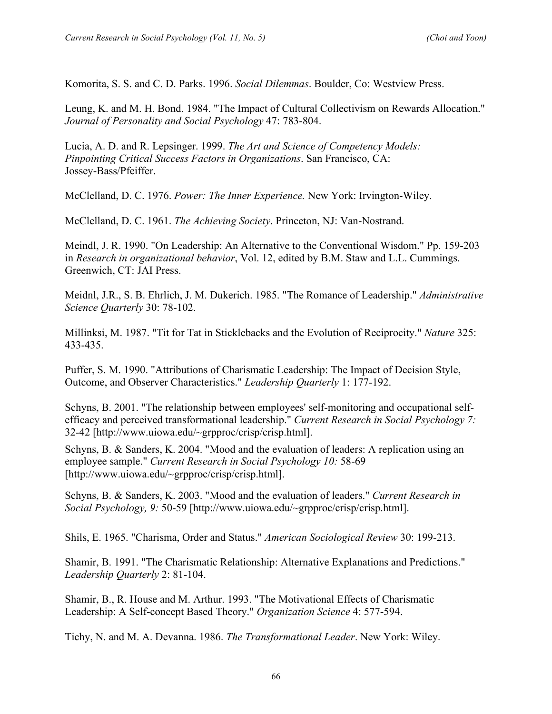Komorita, S. S. and C. D. Parks. 1996. *Social Dilemmas*. Boulder, Co: Westview Press.

Leung, K. and M. H. Bond. 1984. "The Impact of Cultural Collectivism on Rewards Allocation." *Journal of Personality and Social Psychology* 47: 783-804.

Lucia, A. D. and R. Lepsinger. 1999. *The Art and Science of Competency Models: Pinpointing Critical Success Factors in Organizations*. San Francisco, CA: Jossey-Bass/Pfeiffer.

McClelland, D. C. 1976. *Power: The Inner Experience.* New York: Irvington-Wiley.

McClelland, D. C. 1961. *The Achieving Society*. Princeton, NJ: Van-Nostrand.

Meindl, J. R. 1990. "On Leadership: An Alternative to the Conventional Wisdom." Pp. 159-203 in *Research in organizational behavior*, Vol. 12, edited by B.M. Staw and L.L. Cummings. Greenwich, CT: JAI Press.

Meidnl, J.R., S. B. Ehrlich, J. M. Dukerich. 1985. "The Romance of Leadership." *Administrative Science Quarterly* 30: 78-102.

Millinksi, M. 1987. "Tit for Tat in Sticklebacks and the Evolution of Reciprocity." *Nature* 325: 433-435.

Puffer, S. M. 1990. "Attributions of Charismatic Leadership: The Impact of Decision Style, Outcome, and Observer Characteristics." *Leadership Quarterly* 1: 177-192.

Schyns, B. 2001. "The relationship between employees' self-monitoring and occupational selfefficacy and perceived transformational leadership." *Current Research in Social Psychology 7:* 32-42 [http://www.uiowa.edu/~grpproc/crisp/crisp.html].

Schyns, B. & Sanders, K. 2004. "Mood and the evaluation of leaders: A replication using an employee sample." *Current Research in Social Psychology 10:* 58-69 [http://www.uiowa.edu/~grpproc/crisp/crisp.html].

Schyns, B. & Sanders, K. 2003. "Mood and the evaluation of leaders." *Current Research in Social Psychology, 9:* 50-59 [http://www.uiowa.edu/~grpproc/crisp/crisp.html].

Shils, E. 1965. "Charisma, Order and Status." *American Sociological Review* 30: 199-213.

Shamir, B. 1991. "The Charismatic Relationship: Alternative Explanations and Predictions." *Leadership Quarterly* 2: 81-104.

Shamir, B., R. House and M. Arthur. 1993. "The Motivational Effects of Charismatic Leadership: A Self-concept Based Theory." *Organization Science* 4: 577-594.

Tichy, N. and M. A. Devanna. 1986. *The Transformational Leader*. New York: Wiley.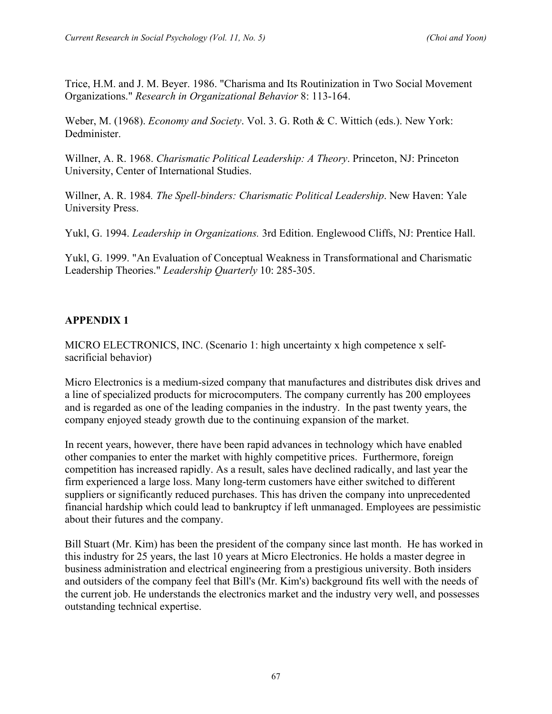Trice, H.M. and J. M. Beyer. 1986. "Charisma and Its Routinization in Two Social Movement Organizations." *Research in Organizational Behavior* 8: 113-164.

Weber, M. (1968). *Economy and Society*. Vol. 3. G. Roth & C. Wittich (eds.). New York: Dedminister.

Willner, A. R. 1968. *Charismatic Political Leadership: A Theory*. Princeton, NJ: Princeton University, Center of International Studies.

Willner, A. R. 1984*. The Spell-binders: Charismatic Political Leadership*. New Haven: Yale University Press.

Yukl, G. 1994. *Leadership in Organizations.* 3rd Edition. Englewood Cliffs, NJ: Prentice Hall.

Yukl, G. 1999. "An Evaluation of Conceptual Weakness in Transformational and Charismatic Leadership Theories." *Leadership Quarterly* 10: 285-305.

# **APPENDIX 1**

MICRO ELECTRONICS, INC. (Scenario 1: high uncertainty x high competence x selfsacrificial behavior)

Micro Electronics is a medium-sized company that manufactures and distributes disk drives and a line of specialized products for microcomputers. The company currently has 200 employees and is regarded as one of the leading companies in the industry. In the past twenty years, the company enjoyed steady growth due to the continuing expansion of the market.

In recent years, however, there have been rapid advances in technology which have enabled other companies to enter the market with highly competitive prices. Furthermore, foreign competition has increased rapidly. As a result, sales have declined radically, and last year the firm experienced a large loss. Many long-term customers have either switched to different suppliers or significantly reduced purchases. This has driven the company into unprecedented financial hardship which could lead to bankruptcy if left unmanaged. Employees are pessimistic about their futures and the company.

Bill Stuart (Mr. Kim) has been the president of the company since last month. He has worked in this industry for 25 years, the last 10 years at Micro Electronics. He holds a master degree in business administration and electrical engineering from a prestigious university. Both insiders and outsiders of the company feel that Bill's (Mr. Kim's) background fits well with the needs of the current job. He understands the electronics market and the industry very well, and possesses outstanding technical expertise.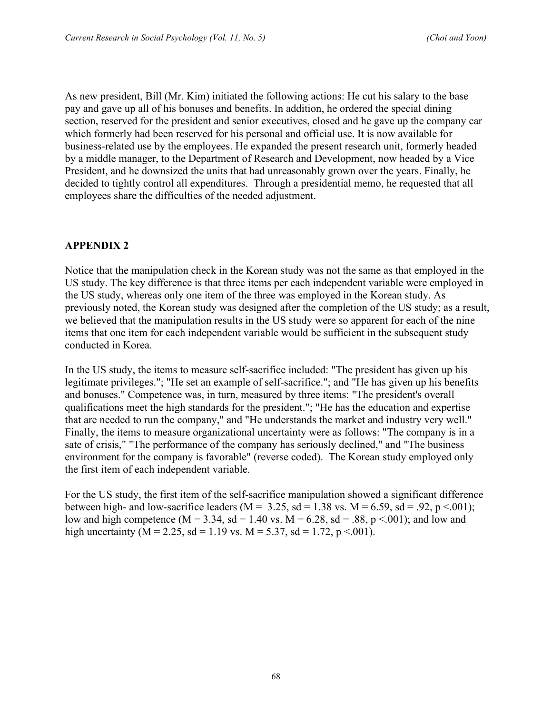As new president, Bill (Mr. Kim) initiated the following actions: He cut his salary to the base pay and gave up all of his bonuses and benefits. In addition, he ordered the special dining section, reserved for the president and senior executives, closed and he gave up the company car which formerly had been reserved for his personal and official use. It is now available for business-related use by the employees. He expanded the present research unit, formerly headed by a middle manager, to the Department of Research and Development, now headed by a Vice President, and he downsized the units that had unreasonably grown over the years. Finally, he decided to tightly control all expenditures. Through a presidential memo, he requested that all employees share the difficulties of the needed adjustment.

#### **APPENDIX 2**

Notice that the manipulation check in the Korean study was not the same as that employed in the US study. The key difference is that three items per each independent variable were employed in the US study, whereas only one item of the three was employed in the Korean study. As previously noted, the Korean study was designed after the completion of the US study; as a result, we believed that the manipulation results in the US study were so apparent for each of the nine items that one item for each independent variable would be sufficient in the subsequent study conducted in Korea.

In the US study, the items to measure self-sacrifice included: "The president has given up his legitimate privileges."; "He set an example of self-sacrifice."; and "He has given up his benefits and bonuses." Competence was, in turn, measured by three items: "The president's overall qualifications meet the high standards for the president."; "He has the education and expertise that are needed to run the company," and "He understands the market and industry very well." Finally, the items to measure organizational uncertainty were as follows: "The company is in a sate of crisis," "The performance of the company has seriously declined," and "The business environment for the company is favorable" (reverse coded). The Korean study employed only the first item of each independent variable.

For the US study, the first item of the self-sacrifice manipulation showed a significant difference between high- and low-sacrifice leaders ( $M = 3.25$ , sd = 1.38 vs.  $M = 6.59$ , sd = .92, p <.001); low and high competence (M = 3.34, sd = 1.40 vs. M = 6.28, sd = .88, p < .001); and low and high uncertainty (M = 2.25, sd = 1.19 vs. M = 5.37, sd = 1.72, p < 001).